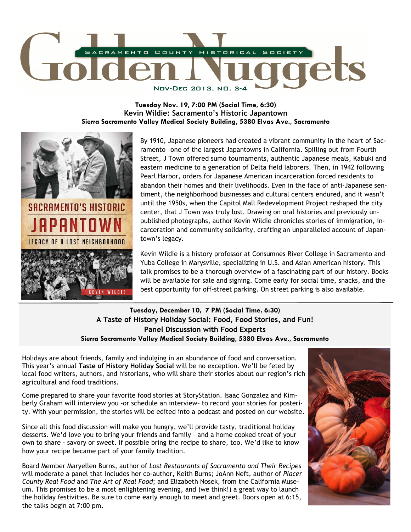

**Tuesday Nov. 19, 7:00 PM (Social Time, 6:30) Kevin Wildie: Sacramento's Historic Japantown Sierra Sacramento Valley Medical Society Building, 5380 Elvas Ave., Sacramento** 



By 1910, Japanese pioneers had created a vibrant community in the heart of Sacramento—one of the largest Japantowns in California. Spilling out from Fourth Street, J Town offered sumo tournaments, authentic Japanese meals, Kabuki and eastern medicine to a generation of Delta field laborers. Then, in 1942 following Pearl Harbor, orders for Japanese American incarceration forced residents to abandon their homes and their livelihoods. Even in the face of anti-Japanese sentiment, the neighborhood businesses and cultural centers endured, and it wasn't until the 1950s, when the Capitol Mall Redevelopment Project reshaped the city center, that J Town was truly lost. Drawing on oral histories and previously unpublished photographs, author Kevin Wildie chronicles stories of immigration, incarceration and community solidarity, crafting an unparalleled account of Japantown's legacy.

Kevin Wildie is a history professor at Consumnes River College in Sacramento and Yuba College in Marysville, specializing in U.S. and Asian American history. This talk promises to be a thorough overview of a fascinating part of our history. Books will be available for sale and signing. Come early for social time, snacks, and the best opportunity for off-street parking. On street parking is also available.

## **Tuesday, December 10, 7 PM (Social Time, 6:30) A Taste of History Holiday Social: Food, Food Stories, and Fun! Panel Discussion with Food Experts Sierra Sacramento Valley Medical Society Building, 5380 Elvas Ave., Sacramento**

Holidays are about friends, family and indulging in an abundance of food and conversation. This year's annual **Taste of History Holiday Social** will be no exception. We'll be feted by local food writers, authors, and historians, who will share their stories about our region's rich agricultural and food traditions.

Come prepared to share your favorite food stories at StoryStation. Isaac Gonzalez and Kimberly Graham will interview you -or schedule an interview– to record your stories for posterity. With your permission, the stories will be edited into a podcast and posted on our website.

Since all this food discussion will make you hungry, we'll provide tasty, traditional holiday desserts. We'd love you to bring your friends and family – and a home cooked treat of your own to share - savory or sweet. If possible bring the recipe to share, too. We'd like to know how your recipe became part of your family tradition.

Board Member Maryellen Burns, author of *Lost Restaurants of Sacramento and Their Recipes*  will moderate a panel that includes her co-author, Keith Burns; JoAnn Neft, author of *Placer County Real Food* and *The Art of Real Food*; and Elizabeth Nosek, from the California Museum. This promises to be a most enlightening evening, and (we think!) a great way to launch the holiday festivities. Be sure to come early enough to meet and greet. Doors open at 6:15, the talks begin at 7:00 pm.

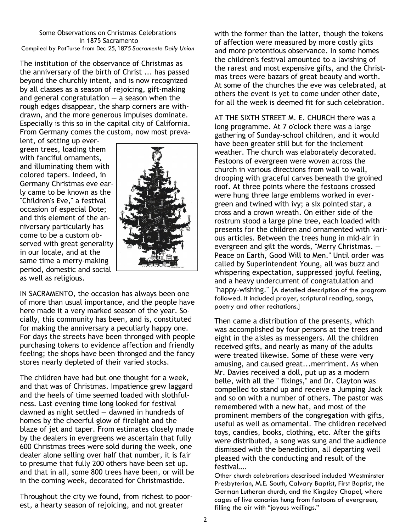#### Some Observations on Christmas Celebrations In 1875 Sacramento Compiled by PatTurse from Dec. 25, 1875 *Sacramento Daily Union*

The institution of the observance of Christmas as the anniversary of the birth of Christ ... has passed beyond the churchly intent, and is now recognized by all classes as a season of rejoicing, gift-making and general congratulation  $-$  a season when the rough edges disappear, the sharp corners are withdrawn, and the more generous impulses dominate. Especially is this so in the capital city of California. From Germany comes the custom, now most preva-

lent, of setting up evergreen trees, loading them with fanciful ornaments, and illuminating them with colored tapers. Indeed, in Germany Christmas eve early came to be known as the "Children's Eve," a festival occasion of especial Dote; and this element of the anniversary particularly has come to be a custom observed with great generality in our locale, and at the same time a merry-making period, domestic and social as well as religious.



IN SACRAMENTO, the occasion has always been one of more than usual importance, and the people have here made it a very marked season of the year. Socially, this community has been, and is, constituted for making the anniversary a peculiarly happy one. For days the streets have been thronged with people purchasing tokens to evidence affection and friendly feeling; the shops have been thronged and the fancy stores nearly depleted of their varied stocks.

The children have had but one thought for a week, and that was of Christmas. Impatience grew laggard and the heels of time seemed loaded with slothfulness. Last evening time long looked for festival dawned as night settled  $-$  dawned in hundreds of homes by the cheerful glow of firelight and the blaze of jet and taper. From estimates closely made by the dealers in evergreens we ascertain that fully 600 Christmas trees were sold during the week, one dealer alone selling over half that number, it is fair to presume that fully 200 others have been set up. and that in all, some 800 trees have been, or will be in the coming week, decorated for Christmastide.

Throughout the city we found, from richest to poorest, a hearty season of rejoicing, and not greater

with the former than the latter, though the tokens of affection were measured by more costly gilts and more pretentious observance. In some homes the children's festival amounted to a lavishing of the rarest and most expensive gifts, and the Christmas trees were bazars of great beauty and worth. At some of the churches the eve was celebrated, at others the event is yet to come under other date, for all the week is deemed fit for such celebration.

AT THE SIXTH STREET M. E. CHURCH there was a long programme. At 7 o'clock there was a large gathering of Sunday-school children, and it would have been greater still but for the inclement weather. The church was elaborately decorated. Festoons of evergreen were woven across the church in various directions from wall to wall, drooping with graceful carves beneath the groined roof. At three points where the festoons crossed were hung three large emblems worked in evergreen and twined with ivy; a six pointed star, a cross and a crown wreath. On either side of the rostrum stood a large pine tree, each loaded with presents for the children and ornamented with various articles. Between the trees hung in mid-air in evergreen and gilt the words, "Merry Christmas. — Peace on Earth, Good Will to Men." Until order was called by Superintendent Young, all was buzz and whispering expectation, suppressed joyful feeling, and a heavy undercurrent of congratulation and "happy-wishing." [A detailed description of the program followed. It included prayer, scriptural reading, songs, poetry and other recitations.]

Then came a distribution of the presents, which was accomplished by four persons at the trees and eight in the aisles as messengers. All the children received gifts, and nearly as many of the adults were treated likewise. Some of these were very amusing, and caused great...merriment. As when Mr. Davies received a doll, put up as a modern belle, with all the " fixings," and Dr. Clayton was compelled to stand up and receive a Jumping Jack and so on with a number of others. The pastor was remembered with a new hat, and most of the prominent members of the congregation with gifts, useful as well as ornamental. The children received toys, candies, books, clothing, etc. After the gifts were distributed, a song was sung and the audience dismissed with the benediction, all departing well pleased with the conducting and result of the festival….

Other church celebrations described included Westminster Presbyterian, M.E. South, Calvary Baptist, First Baptist, the German Lutheran church, and the Kingsley Chapel, where cages of live canaries hung from festoons of evergreen, filling the air with "joyous wailings."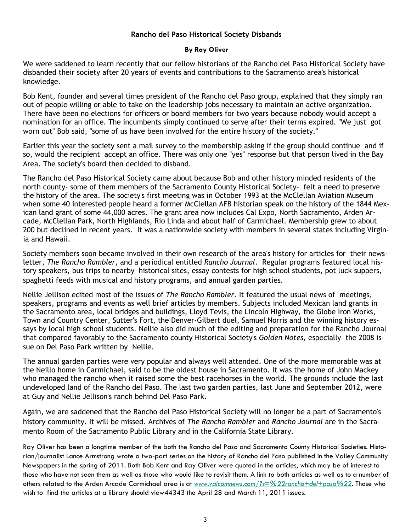### **Rancho del Paso Historical Society Disbands**

#### **By Ray Oliver**

We were saddened to learn recently that our fellow historians of the Rancho del Paso Historical Society have disbanded their society after 20 years of events and contributions to the Sacramento area's historical knowledge.

Bob Kent, founder and several times president of the Rancho del Paso group, explained that they simply ran out of people willing or able to take on the leadership jobs necessary to maintain an active organization. There have been no elections for officers or board members for two years because nobody would accept a nomination for an office. The incumbents simply continued to serve after their terms expired. "We just got worn out" Bob said, "some of us have been involved for the entire history of the society."

Earlier this year the society sent a mail survey to the membership asking if the group should continue and if so, would the recipient accept an office. There was only one "yes" response but that person lived in the Bay Area. The society's board then decided to disband.

The Rancho del Paso Historical Society came about because Bob and other history minded residents of the north county- some of them members of the Sacramento County Historical Society- felt a need to preserve the history of the area. The society's first meeting was in October 1993 at the McClellan Aviation Museum when some 40 interested people heard a former McClellan AFB historian speak on the history of the 1844 Mexican land grant of some 44,000 acres. The grant area now includes Cal Expo, North Sacramento, Arden Arcade, McClellan Park, North Highlands, Rio Linda and about half of Carmichael. Membership grew to about 200 but declined in recent years. It was a nationwide society with members in several states including Virginia and Hawaii.

Society members soon became involved in their own research of the area's history for articles for their newsletter, *The Rancho Rambler*, and a periodical entitled *Rancho Journal*. Regular programs featured local history speakers, bus trips to nearby historical sites, essay contests for high school students, pot luck suppers, spaghetti feeds with musical and history programs, and annual garden parties.

Nellie Jellison edited most of the issues of *The Rancho Rambler*. It featured the usual news of meetings, speakers, programs and events as well brief articles by members. Subjects included Mexican land grants in the Sacramento area, local bridges and buildings, Lloyd Tevis, the Lincoln Highway, the Globe Iron Works, Town and Country Center, Sutter's Fort, the Denver-Gilbert duel, Samuel Norris and the winning history essays by local high school students. Nellie also did much of the editing and preparation for the Rancho Journal that compared favorably to the Sacramento county Historical Society's *Golden Notes*, especially the 2008 issue on Del Paso Park written by Nellie.

The annual garden parties were very popular and always well attended. One of the more memorable was at the Neillo home in Carmichael, said to be the oldest house in Sacramento. It was the home of John Mackey who managed the rancho when it raised some the best racehorses in the world. The grounds include the last undeveloped land of the Rancho del Paso. The last two garden parties, last June and September 2012, were at Guy and Nellie Jellison's ranch behind Del Paso Park.

Again, we are saddened that the Rancho del Paso Historical Society will no longer be a part of Sacramento's history community. It will be missed. Archives of *The Rancho Rambler* and *Rancho Journal* are in the Sacramento Room of the Sacramento Public Library and in the California State Library.

Ray Oliver has been a longtime member of the both the Rancho del Paso and Sacramento County Historical Societies. Historian/journalist Lance Armstrong wrote a two-part series on the history of Rancho del Paso published in the Valley Community Newspapers in the spring of 2011. Both Bob Kent and Ray Oliver were quoted in the articles, which may be of interest to those who have not seen them as well as those who would like to revisit them. A link to both articles as well as to a number of others related to the Arden Arcade Carmichael area is at *www.valcomnews.com/?s=%22rancho+del+paso%22.* Those who wish to find the articles at a library should view44343 the April 28 and March 11, 2011 issues.